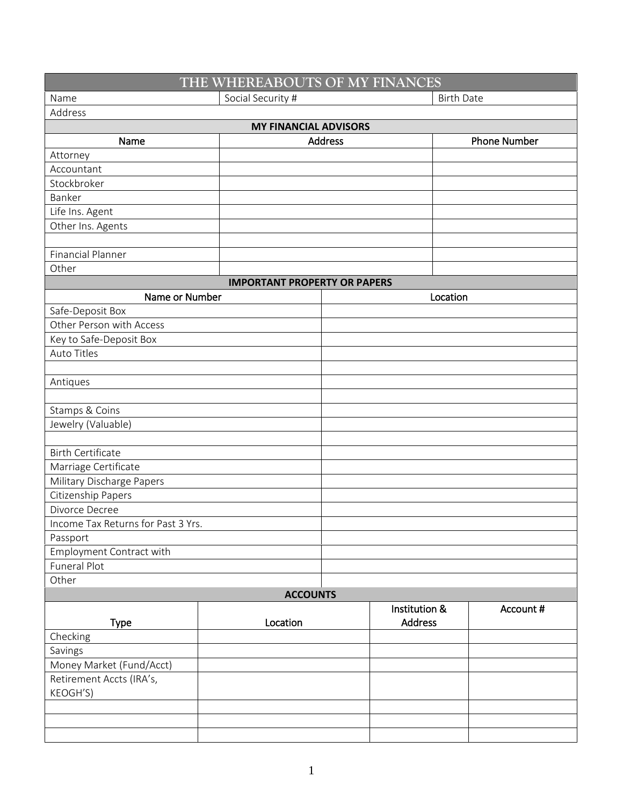| THE WHEREABOUTS OF MY FINANCES      |                   |                |                     |  |  |  |
|-------------------------------------|-------------------|----------------|---------------------|--|--|--|
| Name                                | Social Security # |                | <b>Birth Date</b>   |  |  |  |
| Address                             |                   |                |                     |  |  |  |
| <b>MY FINANCIAL ADVISORS</b>        |                   |                |                     |  |  |  |
| Name                                | <b>Address</b>    |                | <b>Phone Number</b> |  |  |  |
| Attorney                            |                   |                |                     |  |  |  |
| Accountant                          |                   |                |                     |  |  |  |
| Stockbroker                         |                   |                |                     |  |  |  |
| Banker                              |                   |                |                     |  |  |  |
| Life Ins. Agent                     |                   |                |                     |  |  |  |
| Other Ins. Agents                   |                   |                |                     |  |  |  |
|                                     |                   |                |                     |  |  |  |
| <b>Financial Planner</b>            |                   |                |                     |  |  |  |
| Other                               |                   |                |                     |  |  |  |
| <b>IMPORTANT PROPERTY OR PAPERS</b> |                   |                |                     |  |  |  |
| Name or Number                      |                   | Location       |                     |  |  |  |
| Safe-Deposit Box                    |                   |                |                     |  |  |  |
| Other Person with Access            |                   |                |                     |  |  |  |
| Key to Safe-Deposit Box             |                   |                |                     |  |  |  |
| <b>Auto Titles</b>                  |                   |                |                     |  |  |  |
|                                     |                   |                |                     |  |  |  |
| Antiques                            |                   |                |                     |  |  |  |
|                                     |                   |                |                     |  |  |  |
| Stamps & Coins                      |                   |                |                     |  |  |  |
| Jewelry (Valuable)                  |                   |                |                     |  |  |  |
|                                     |                   |                |                     |  |  |  |
| <b>Birth Certificate</b>            |                   |                |                     |  |  |  |
| Marriage Certificate                |                   |                |                     |  |  |  |
| Military Discharge Papers           |                   |                |                     |  |  |  |
| Citizenship Papers                  |                   |                |                     |  |  |  |
| Divorce Decree                      |                   |                |                     |  |  |  |
| Income Tax Returns for Past 3 Yrs.  |                   |                |                     |  |  |  |
| Passport                            |                   |                |                     |  |  |  |
| Employment Contract with            |                   |                |                     |  |  |  |
| Funeral Plot                        |                   |                |                     |  |  |  |
| Other                               |                   |                |                     |  |  |  |
| <b>ACCOUNTS</b>                     |                   |                |                     |  |  |  |
|                                     |                   | Institution &  | Account #           |  |  |  |
| <b>Type</b>                         | Location          | <b>Address</b> |                     |  |  |  |
| Checking                            |                   |                |                     |  |  |  |
| Savings                             |                   |                |                     |  |  |  |
| Money Market (Fund/Acct)            |                   |                |                     |  |  |  |
| Retirement Accts (IRA's,            |                   |                |                     |  |  |  |
| KEOGH'S)                            |                   |                |                     |  |  |  |
|                                     |                   |                |                     |  |  |  |
|                                     |                   |                |                     |  |  |  |
|                                     |                   |                |                     |  |  |  |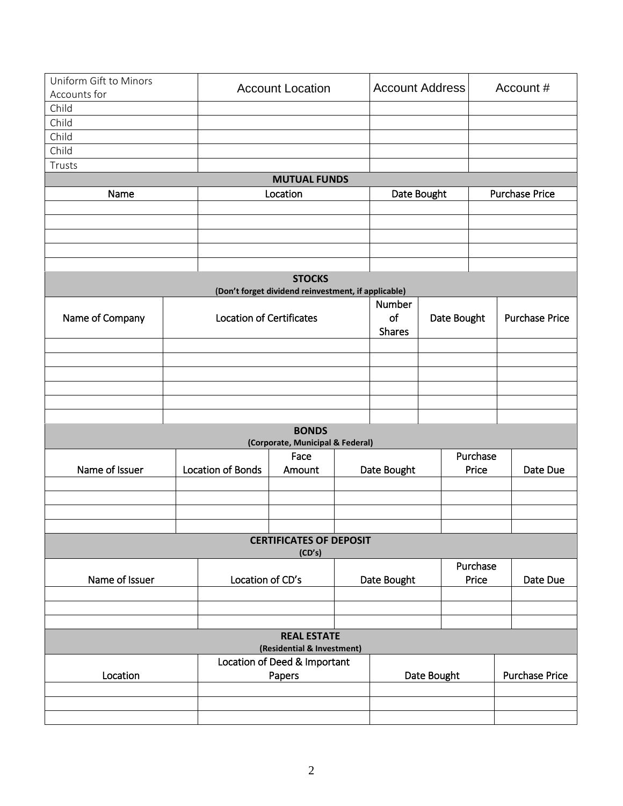| Uniform Gift to Minors<br>Accounts for           |  | <b>Account Location</b>         |                                                     | <b>Account Address</b> |               |             | Account#              |          |                       |  |
|--------------------------------------------------|--|---------------------------------|-----------------------------------------------------|------------------------|---------------|-------------|-----------------------|----------|-----------------------|--|
| Child                                            |  |                                 |                                                     |                        |               |             |                       |          |                       |  |
| Child                                            |  |                                 |                                                     |                        |               |             |                       |          |                       |  |
| Child                                            |  |                                 |                                                     |                        |               |             |                       |          |                       |  |
| Child                                            |  |                                 |                                                     |                        |               |             |                       |          |                       |  |
| Trusts                                           |  |                                 |                                                     |                        |               |             |                       |          |                       |  |
|                                                  |  |                                 | <b>MUTUAL FUNDS</b>                                 |                        |               |             |                       |          |                       |  |
| Name                                             |  |                                 | Location                                            |                        |               | Date Bought |                       |          | <b>Purchase Price</b> |  |
|                                                  |  |                                 |                                                     |                        |               |             |                       |          |                       |  |
|                                                  |  |                                 |                                                     |                        |               |             |                       |          |                       |  |
|                                                  |  |                                 |                                                     |                        |               |             |                       |          |                       |  |
|                                                  |  |                                 |                                                     |                        |               |             |                       |          |                       |  |
|                                                  |  |                                 |                                                     |                        |               |             |                       |          |                       |  |
|                                                  |  |                                 | <b>STOCKS</b>                                       |                        |               |             |                       |          |                       |  |
|                                                  |  |                                 | (Don't forget dividend reinvestment, if applicable) |                        |               |             |                       |          |                       |  |
|                                                  |  |                                 |                                                     |                        | Number        |             |                       |          |                       |  |
| Name of Company                                  |  | <b>Location of Certificates</b> |                                                     |                        | of            |             | Date Bought           |          | <b>Purchase Price</b> |  |
|                                                  |  |                                 |                                                     |                        | <b>Shares</b> |             |                       |          |                       |  |
|                                                  |  |                                 |                                                     |                        |               |             |                       |          |                       |  |
|                                                  |  |                                 |                                                     |                        |               |             |                       |          |                       |  |
|                                                  |  |                                 |                                                     |                        |               |             |                       |          |                       |  |
|                                                  |  |                                 |                                                     |                        |               |             |                       |          |                       |  |
|                                                  |  |                                 |                                                     |                        |               |             |                       |          |                       |  |
|                                                  |  |                                 |                                                     |                        |               |             |                       |          |                       |  |
| <b>BONDS</b><br>(Corporate, Municipal & Federal) |  |                                 |                                                     |                        |               |             |                       |          |                       |  |
|                                                  |  |                                 | Purchase<br>Face                                    |                        |               |             |                       |          |                       |  |
| Name of Issuer                                   |  | <b>Location of Bonds</b>        | Amount                                              | Date Bought<br>Price   |               | Date Due    |                       |          |                       |  |
|                                                  |  |                                 |                                                     |                        |               |             |                       |          |                       |  |
|                                                  |  |                                 |                                                     |                        |               |             |                       |          |                       |  |
|                                                  |  |                                 |                                                     |                        |               |             |                       |          |                       |  |
|                                                  |  |                                 |                                                     |                        |               |             |                       |          |                       |  |
| <b>CERTIFICATES OF DEPOSIT</b><br>(CD's)         |  |                                 |                                                     |                        |               |             |                       |          |                       |  |
|                                                  |  |                                 |                                                     |                        |               |             | Purchase              |          |                       |  |
| Name of Issuer                                   |  | Location of CD's                |                                                     | Date Bought            |               | Price       |                       | Date Due |                       |  |
|                                                  |  |                                 |                                                     |                        |               |             |                       |          |                       |  |
|                                                  |  |                                 |                                                     |                        |               |             |                       |          |                       |  |
|                                                  |  |                                 |                                                     |                        |               |             |                       |          |                       |  |
| <b>REAL ESTATE</b><br>(Residential & Investment) |  |                                 |                                                     |                        |               |             |                       |          |                       |  |
|                                                  |  |                                 | Location of Deed & Important                        |                        |               |             |                       |          |                       |  |
| Location<br>Papers                               |  |                                 | Date Bought                                         |                        |               |             | <b>Purchase Price</b> |          |                       |  |
|                                                  |  |                                 |                                                     |                        |               |             |                       |          |                       |  |
|                                                  |  |                                 |                                                     |                        |               |             |                       |          |                       |  |
|                                                  |  |                                 |                                                     |                        |               |             |                       |          |                       |  |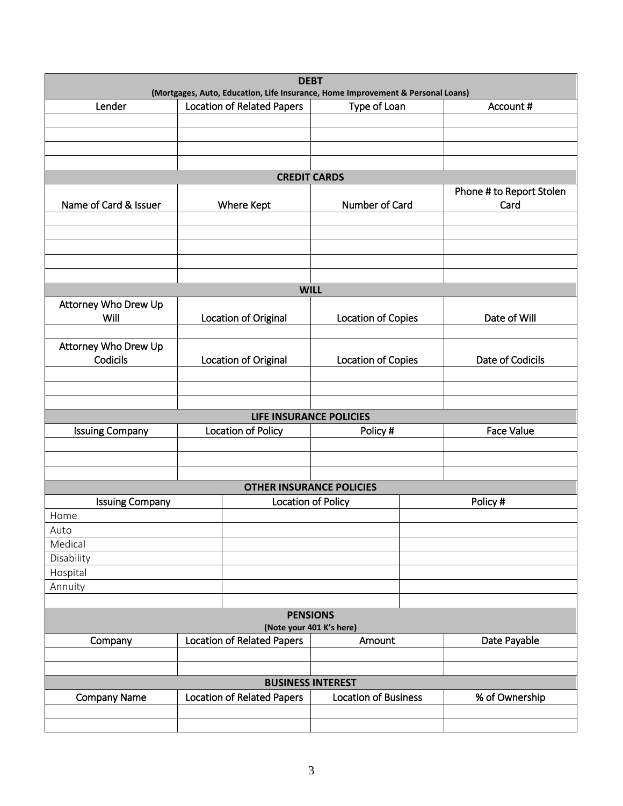| <b>DEBT</b><br>(Mortgages, Auto, Education, Life Insurance, Home Improvement & Personal Loans) |                    |                                                   |                             |  |                                  |  |
|------------------------------------------------------------------------------------------------|--------------------|---------------------------------------------------|-----------------------------|--|----------------------------------|--|
| Lender                                                                                         |                    | <b>Location of Related Papers</b>                 | Type of Loan                |  | Account #                        |  |
|                                                                                                |                    |                                                   |                             |  |                                  |  |
|                                                                                                |                    |                                                   |                             |  |                                  |  |
|                                                                                                |                    |                                                   |                             |  |                                  |  |
|                                                                                                |                    |                                                   |                             |  |                                  |  |
|                                                                                                |                    | <b>CREDIT CARDS</b>                               |                             |  |                                  |  |
| Name of Card & Issuer                                                                          |                    |                                                   | Number of Card              |  | Phone # to Report Stolen<br>Card |  |
|                                                                                                |                    | Where Kept                                        |                             |  |                                  |  |
|                                                                                                |                    |                                                   |                             |  |                                  |  |
|                                                                                                |                    |                                                   |                             |  |                                  |  |
|                                                                                                |                    |                                                   |                             |  |                                  |  |
|                                                                                                |                    |                                                   |                             |  |                                  |  |
|                                                                                                |                    |                                                   | <b>WILL</b>                 |  |                                  |  |
| Attorney Who Drew Up                                                                           |                    |                                                   |                             |  |                                  |  |
| Will                                                                                           |                    | Location of Original                              | Location of Copies          |  | Date of Will                     |  |
|                                                                                                |                    |                                                   |                             |  |                                  |  |
| Attorney Who Drew Up<br>Codicils                                                               |                    |                                                   |                             |  | Date of Codicils                 |  |
|                                                                                                |                    | Location of Original<br><b>Location of Copies</b> |                             |  |                                  |  |
|                                                                                                |                    |                                                   |                             |  |                                  |  |
|                                                                                                |                    |                                                   |                             |  |                                  |  |
|                                                                                                |                    | LIFE INSURANCE POLICIES                           |                             |  |                                  |  |
| <b>Issuing Company</b>                                                                         |                    | Location of Policy<br>Policy #                    |                             |  | <b>Face Value</b>                |  |
|                                                                                                |                    |                                                   |                             |  |                                  |  |
|                                                                                                |                    |                                                   |                             |  |                                  |  |
|                                                                                                |                    |                                                   |                             |  |                                  |  |
|                                                                                                |                    | <b>OTHER INSURANCE POLICIES</b>                   |                             |  |                                  |  |
| <b>Issuing Company</b><br>Home                                                                 | Location of Policy |                                                   |                             |  | Policy#                          |  |
| Auto                                                                                           |                    |                                                   |                             |  |                                  |  |
| Medical                                                                                        |                    |                                                   |                             |  |                                  |  |
| Disability                                                                                     |                    |                                                   |                             |  |                                  |  |
| Hospital                                                                                       |                    |                                                   |                             |  |                                  |  |
| Annuity                                                                                        |                    |                                                   |                             |  |                                  |  |
|                                                                                                |                    |                                                   |                             |  |                                  |  |
| <b>PENSIONS</b><br>(Note your 401 K's here)                                                    |                    |                                                   |                             |  |                                  |  |
| <b>Location of Related Papers</b><br>Amount<br>Company                                         |                    |                                                   | Date Payable                |  |                                  |  |
|                                                                                                |                    |                                                   |                             |  |                                  |  |
|                                                                                                |                    |                                                   |                             |  |                                  |  |
|                                                                                                |                    |                                                   | <b>BUSINESS INTEREST</b>    |  |                                  |  |
| <b>Company Name</b>                                                                            |                    | <b>Location of Related Papers</b>                 | <b>Location of Business</b> |  | % of Ownership                   |  |
|                                                                                                |                    |                                                   |                             |  |                                  |  |
|                                                                                                |                    |                                                   |                             |  |                                  |  |